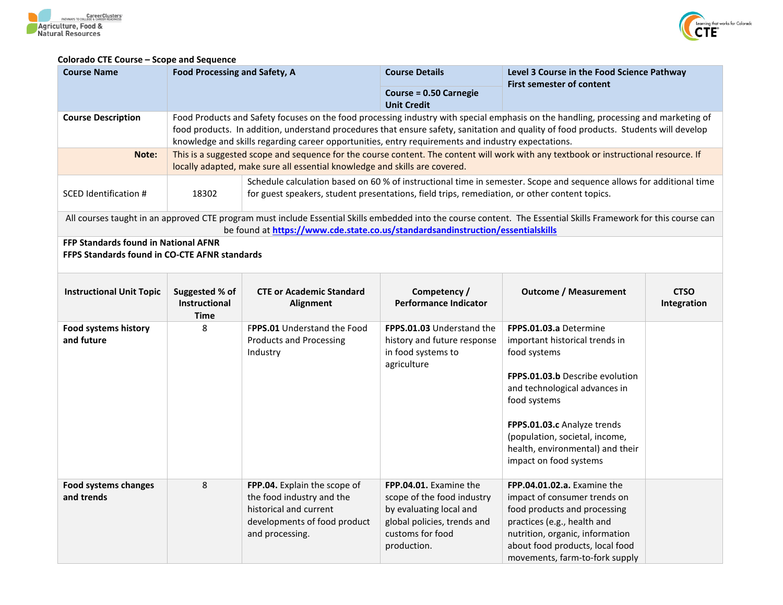



## **Colorado CTE Course – Scope and Sequence**

| <b>Course Name</b>                                                                                  | <b>Food Processing and Safety, A</b>                  |                                                                                                                                                                                                                                                                                                                                                                                   | <b>Course Details</b>                                                                                                                             | Level 3 Course in the Food Science Pathway<br><b>First semester of content</b>                                                                                                                                                                                                                     |                            |  |
|-----------------------------------------------------------------------------------------------------|-------------------------------------------------------|-----------------------------------------------------------------------------------------------------------------------------------------------------------------------------------------------------------------------------------------------------------------------------------------------------------------------------------------------------------------------------------|---------------------------------------------------------------------------------------------------------------------------------------------------|----------------------------------------------------------------------------------------------------------------------------------------------------------------------------------------------------------------------------------------------------------------------------------------------------|----------------------------|--|
|                                                                                                     |                                                       |                                                                                                                                                                                                                                                                                                                                                                                   | <b>Course = 0.50 Carnegie</b><br><b>Unit Credit</b>                                                                                               |                                                                                                                                                                                                                                                                                                    |                            |  |
| <b>Course Description</b>                                                                           |                                                       | Food Products and Safety focuses on the food processing industry with special emphasis on the handling, processing and marketing of<br>food products. In addition, understand procedures that ensure safety, sanitation and quality of food products. Students will develop<br>knowledge and skills regarding career opportunities, entry requirements and industry expectations. |                                                                                                                                                   |                                                                                                                                                                                                                                                                                                    |                            |  |
| Note:                                                                                               |                                                       | This is a suggested scope and sequence for the course content. The content will work with any textbook or instructional resource. If<br>locally adapted, make sure all essential knowledge and skills are covered.                                                                                                                                                                |                                                                                                                                                   |                                                                                                                                                                                                                                                                                                    |                            |  |
| <b>SCED Identification #</b>                                                                        | 18302                                                 | for guest speakers, student presentations, field trips, remediation, or other content topics.                                                                                                                                                                                                                                                                                     |                                                                                                                                                   | Schedule calculation based on 60 % of instructional time in semester. Scope and sequence allows for additional time                                                                                                                                                                                |                            |  |
|                                                                                                     |                                                       | be found at https://www.cde.state.co.us/standardsandinstruction/essentialskills                                                                                                                                                                                                                                                                                                   |                                                                                                                                                   | All courses taught in an approved CTE program must include Essential Skills embedded into the course content. The Essential Skills Framework for this course can                                                                                                                                   |                            |  |
| <b>FFP Standards found in National AFNR</b><br><b>FFPS Standards found in CO-CTE AFNR standards</b> |                                                       |                                                                                                                                                                                                                                                                                                                                                                                   |                                                                                                                                                   |                                                                                                                                                                                                                                                                                                    |                            |  |
| <b>Instructional Unit Topic</b>                                                                     | Suggested % of<br><b>Instructional</b><br><b>Time</b> | <b>CTE or Academic Standard</b><br>Alignment                                                                                                                                                                                                                                                                                                                                      | Competency /<br><b>Performance Indicator</b>                                                                                                      | <b>Outcome / Measurement</b>                                                                                                                                                                                                                                                                       | <b>CTSO</b><br>Integration |  |
| <b>Food systems history</b><br>and future                                                           | 8                                                     | FPPS.01 Understand the Food<br><b>Products and Processing</b><br>Industry                                                                                                                                                                                                                                                                                                         | FPPS.01.03 Understand the<br>history and future response<br>in food systems to<br>agriculture                                                     | FPPS.01.03.a Determine<br>important historical trends in<br>food systems<br><b>FPPS.01.03.b</b> Describe evolution<br>and technological advances in<br>food systems<br>FPPS.01.03.c Analyze trends<br>(population, societal, income,<br>health, environmental) and their<br>impact on food systems |                            |  |
| <b>Food systems changes</b><br>and trends                                                           | 8                                                     | FPP.04. Explain the scope of<br>the food industry and the<br>historical and current<br>developments of food product<br>and processing.                                                                                                                                                                                                                                            | FPP.04.01. Examine the<br>scope of the food industry<br>by evaluating local and<br>global policies, trends and<br>customs for food<br>production. | FPP.04.01.02.a. Examine the<br>impact of consumer trends on<br>food products and processing<br>practices (e.g., health and<br>nutrition, organic, information<br>about food products, local food<br>movements, farm-to-fork supply                                                                 |                            |  |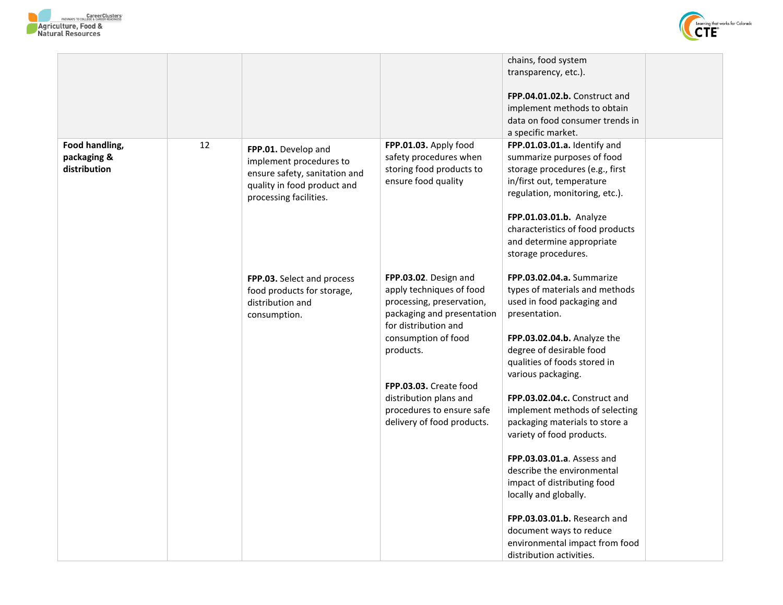



|                                               |    |                                                                                                                                          |                                                                                                                                                                                                                                                                                         | chains, food system<br>transparency, etc.).<br>FPP.04.01.02.b. Construct and<br>implement methods to obtain<br>data on food consumer trends in<br>a specific market.                                                                                                                                                                                                                                                                                                                                                                                                                                              |  |
|-----------------------------------------------|----|------------------------------------------------------------------------------------------------------------------------------------------|-----------------------------------------------------------------------------------------------------------------------------------------------------------------------------------------------------------------------------------------------------------------------------------------|-------------------------------------------------------------------------------------------------------------------------------------------------------------------------------------------------------------------------------------------------------------------------------------------------------------------------------------------------------------------------------------------------------------------------------------------------------------------------------------------------------------------------------------------------------------------------------------------------------------------|--|
| Food handling,<br>packaging &<br>distribution | 12 | FPP.01. Develop and<br>implement procedures to<br>ensure safety, sanitation and<br>quality in food product and<br>processing facilities. | FPP.01.03. Apply food<br>safety procedures when<br>storing food products to<br>ensure food quality                                                                                                                                                                                      | FPP.01.03.01.a. Identify and<br>summarize purposes of food<br>storage procedures (e.g., first<br>in/first out, temperature<br>regulation, monitoring, etc.).<br>FPP.01.03.01.b. Analyze<br>characteristics of food products<br>and determine appropriate<br>storage procedures.                                                                                                                                                                                                                                                                                                                                   |  |
|                                               |    | FPP.03. Select and process<br>food products for storage,<br>distribution and<br>consumption.                                             | FPP.03.02. Design and<br>apply techniques of food<br>processing, preservation,<br>packaging and presentation<br>for distribution and<br>consumption of food<br>products.<br>FPP.03.03. Create food<br>distribution plans and<br>procedures to ensure safe<br>delivery of food products. | FPP.03.02.04.a. Summarize<br>types of materials and methods<br>used in food packaging and<br>presentation.<br>FPP.03.02.04.b. Analyze the<br>degree of desirable food<br>qualities of foods stored in<br>various packaging.<br>FPP.03.02.04.c. Construct and<br>implement methods of selecting<br>packaging materials to store a<br>variety of food products.<br><b>FPP.03.03.01.a.</b> Assess and<br>describe the environmental<br>impact of distributing food<br>locally and globally.<br>FPP.03.03.01.b. Research and<br>document ways to reduce<br>environmental impact from food<br>distribution activities. |  |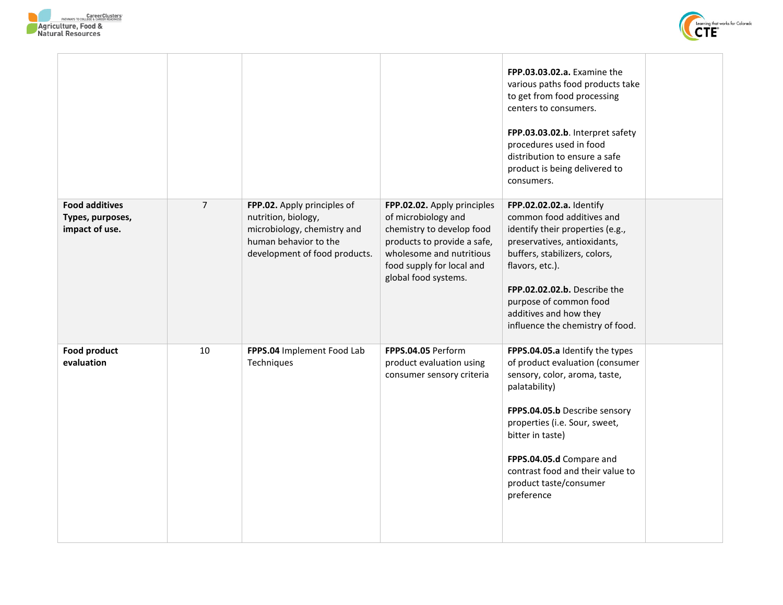

 $\overline{\phantom{a}}$ 



|                                                             |                |                                                                                                                                             |                                                                                                                                                                                                 | FPP.03.03.02.a. Examine the<br>various paths food products take<br>to get from food processing<br>centers to consumers.<br>FPP.03.03.02.b. Interpret safety<br>procedures used in food<br>distribution to ensure a safe<br>product is being delivered to<br>consumers.                                             |  |
|-------------------------------------------------------------|----------------|---------------------------------------------------------------------------------------------------------------------------------------------|-------------------------------------------------------------------------------------------------------------------------------------------------------------------------------------------------|--------------------------------------------------------------------------------------------------------------------------------------------------------------------------------------------------------------------------------------------------------------------------------------------------------------------|--|
| <b>Food additives</b><br>Types, purposes,<br>impact of use. | $\overline{7}$ | FPP.02. Apply principles of<br>nutrition, biology,<br>microbiology, chemistry and<br>human behavior to the<br>development of food products. | FPP.02.02. Apply principles<br>of microbiology and<br>chemistry to develop food<br>products to provide a safe,<br>wholesome and nutritious<br>food supply for local and<br>global food systems. | FPP.02.02.02.a. Identify<br>common food additives and<br>identify their properties (e.g.,<br>preservatives, antioxidants,<br>buffers, stabilizers, colors,<br>flavors, etc.).<br>FPP.02.02.02.b. Describe the<br>purpose of common food<br>additives and how they<br>influence the chemistry of food.              |  |
| <b>Food product</b><br>evaluation                           | 10             | FPPS.04 Implement Food Lab<br>Techniques                                                                                                    | FPPS.04.05 Perform<br>product evaluation using<br>consumer sensory criteria                                                                                                                     | FPPS.04.05.a Identify the types<br>of product evaluation (consumer<br>sensory, color, aroma, taste,<br>palatability)<br>FPPS.04.05.b Describe sensory<br>properties (i.e. Sour, sweet,<br>bitter in taste)<br>FPPS.04.05.d Compare and<br>contrast food and their value to<br>product taste/consumer<br>preference |  |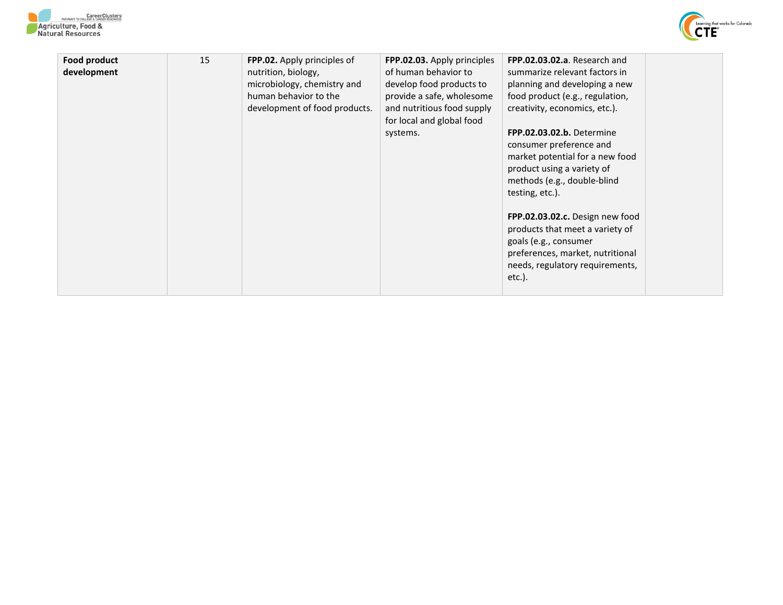



| Food product<br>development | 15 | FPP.02. Apply principles of<br>nutrition, biology,<br>microbiology, chemistry and<br>human behavior to the<br>development of food products. | FPP.02.03. Apply principles<br>of human behavior to<br>develop food products to<br>provide a safe, wholesome<br>and nutritious food supply<br>for local and global food<br>systems. | FPP.02.03.02.a. Research and<br>summarize relevant factors in<br>planning and developing a new<br>food product (e.g., regulation,<br>creativity, economics, etc.).<br>FPP.02.03.02.b. Determine<br>consumer preference and<br>market potential for a new food<br>product using a variety of<br>methods (e.g., double-blind<br>testing, etc.).<br>FPP.02.03.02.c. Design new food<br>products that meet a variety of<br>goals (e.g., consumer<br>preferences, market, nutritional<br>needs, regulatory requirements,<br>$etc.$ ). |  |
|-----------------------------|----|---------------------------------------------------------------------------------------------------------------------------------------------|-------------------------------------------------------------------------------------------------------------------------------------------------------------------------------------|----------------------------------------------------------------------------------------------------------------------------------------------------------------------------------------------------------------------------------------------------------------------------------------------------------------------------------------------------------------------------------------------------------------------------------------------------------------------------------------------------------------------------------|--|
|-----------------------------|----|---------------------------------------------------------------------------------------------------------------------------------------------|-------------------------------------------------------------------------------------------------------------------------------------------------------------------------------------|----------------------------------------------------------------------------------------------------------------------------------------------------------------------------------------------------------------------------------------------------------------------------------------------------------------------------------------------------------------------------------------------------------------------------------------------------------------------------------------------------------------------------------|--|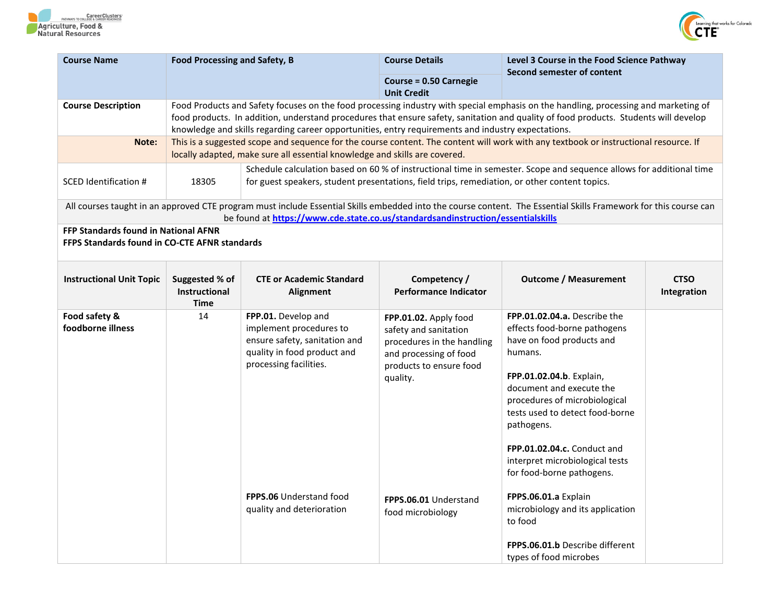



|                                                       |                                                                                                                                                                                                                                                                             | <b>Course Details</b>                                                                                                                                                                       | Level 3 Course in the Food Science Pathway                                                                                                                                                                                                                                                                                                                                                                                                              |                                                                                                                                                                                                                                                                                                                                                                                                                                                                                                                    |  |
|-------------------------------------------------------|-----------------------------------------------------------------------------------------------------------------------------------------------------------------------------------------------------------------------------------------------------------------------------|---------------------------------------------------------------------------------------------------------------------------------------------------------------------------------------------|---------------------------------------------------------------------------------------------------------------------------------------------------------------------------------------------------------------------------------------------------------------------------------------------------------------------------------------------------------------------------------------------------------------------------------------------------------|--------------------------------------------------------------------------------------------------------------------------------------------------------------------------------------------------------------------------------------------------------------------------------------------------------------------------------------------------------------------------------------------------------------------------------------------------------------------------------------------------------------------|--|
|                                                       |                                                                                                                                                                                                                                                                             | <b>Course = 0.50 Carnegie</b>                                                                                                                                                               |                                                                                                                                                                                                                                                                                                                                                                                                                                                         |                                                                                                                                                                                                                                                                                                                                                                                                                                                                                                                    |  |
|                                                       | Food Products and Safety focuses on the food processing industry with special emphasis on the handling, processing and marketing of<br>food products. In addition, understand procedures that ensure safety, sanitation and quality of food products. Students will develop |                                                                                                                                                                                             |                                                                                                                                                                                                                                                                                                                                                                                                                                                         |                                                                                                                                                                                                                                                                                                                                                                                                                                                                                                                    |  |
|                                                       | This is a suggested scope and sequence for the course content. The content will work with any textbook or instructional resource. If                                                                                                                                        |                                                                                                                                                                                             |                                                                                                                                                                                                                                                                                                                                                                                                                                                         |                                                                                                                                                                                                                                                                                                                                                                                                                                                                                                                    |  |
| 18305                                                 |                                                                                                                                                                                                                                                                             | Schedule calculation based on 60 % of instructional time in semester. Scope and sequence allows for additional time                                                                         |                                                                                                                                                                                                                                                                                                                                                                                                                                                         |                                                                                                                                                                                                                                                                                                                                                                                                                                                                                                                    |  |
|                                                       |                                                                                                                                                                                                                                                                             |                                                                                                                                                                                             |                                                                                                                                                                                                                                                                                                                                                                                                                                                         |                                                                                                                                                                                                                                                                                                                                                                                                                                                                                                                    |  |
| FFP Standards found in National AFNR                  |                                                                                                                                                                                                                                                                             |                                                                                                                                                                                             |                                                                                                                                                                                                                                                                                                                                                                                                                                                         |                                                                                                                                                                                                                                                                                                                                                                                                                                                                                                                    |  |
| Suggested % of<br><b>Instructional</b><br><b>Time</b> | <b>CTE or Academic Standard</b><br>Alignment                                                                                                                                                                                                                                | Competency /<br><b>Performance Indicator</b>                                                                                                                                                | <b>Outcome / Measurement</b>                                                                                                                                                                                                                                                                                                                                                                                                                            | <b>CTSO</b><br>Integration                                                                                                                                                                                                                                                                                                                                                                                                                                                                                         |  |
| 14                                                    | FPP.01. Develop and<br>implement procedures to<br>ensure safety, sanitation and<br>quality in food product and<br>processing facilities.<br>FPPS.06 Understand food<br>quality and deterioration                                                                            | FPP.01.02. Apply food<br>safety and sanitation<br>procedures in the handling<br>and processing of food<br>products to ensure food<br>quality.<br>FPPS.06.01 Understand<br>food microbiology | FPP.01.02.04.a. Describe the<br>effects food-borne pathogens<br>have on food products and<br>humans.<br>FPP.01.02.04.b. Explain,<br>document and execute the<br>procedures of microbiological<br>tests used to detect food-borne<br>pathogens.<br>FPP.01.02.04.c. Conduct and<br>interpret microbiological tests<br>for food-borne pathogens.<br>FPPS.06.01.a Explain<br>microbiology and its application<br>to food<br>FPPS.06.01.b Describe different |                                                                                                                                                                                                                                                                                                                                                                                                                                                                                                                    |  |
|                                                       |                                                                                                                                                                                                                                                                             | <b>Food Processing and Safety, B</b><br><b>FFPS Standards found in CO-CTE AFNR standards</b>                                                                                                | <b>Unit Credit</b><br>locally adapted, make sure all essential knowledge and skills are covered.                                                                                                                                                                                                                                                                                                                                                        | Second semester of content<br>knowledge and skills regarding career opportunities, entry requirements and industry expectations.<br>for guest speakers, student presentations, field trips, remediation, or other content topics.<br>All courses taught in an approved CTE program must include Essential Skills embedded into the course content. The Essential Skills Framework for this course can<br>be found at https://www.cde.state.co.us/standardsandinstruction/essentialskills<br>types of food microbes |  |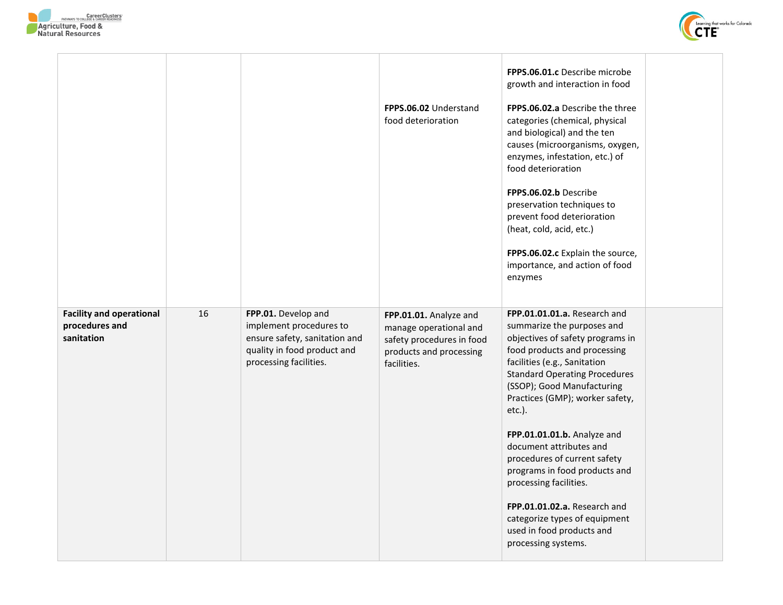



|                                                                 |    |                                                                                                                                          | FPPS.06.02 Understand<br>food deterioration                                                                             | FPPS.06.01.c Describe microbe<br>growth and interaction in food<br><b>FPPS.06.02.a</b> Describe the three<br>categories (chemical, physical<br>and biological) and the ten<br>causes (microorganisms, oxygen,<br>enzymes, infestation, etc.) of<br>food deterioration<br>FPPS.06.02.b Describe<br>preservation techniques to<br>prevent food deterioration<br>(heat, cold, acid, etc.)<br>FPPS.06.02.c Explain the source,<br>importance, and action of food<br>enzymes                                                                                        |  |
|-----------------------------------------------------------------|----|------------------------------------------------------------------------------------------------------------------------------------------|-------------------------------------------------------------------------------------------------------------------------|----------------------------------------------------------------------------------------------------------------------------------------------------------------------------------------------------------------------------------------------------------------------------------------------------------------------------------------------------------------------------------------------------------------------------------------------------------------------------------------------------------------------------------------------------------------|--|
| <b>Facility and operational</b><br>procedures and<br>sanitation | 16 | FPP.01. Develop and<br>implement procedures to<br>ensure safety, sanitation and<br>quality in food product and<br>processing facilities. | FPP.01.01. Analyze and<br>manage operational and<br>safety procedures in food<br>products and processing<br>facilities. | FPP.01.01.01.a. Research and<br>summarize the purposes and<br>objectives of safety programs in<br>food products and processing<br>facilities (e.g., Sanitation<br><b>Standard Operating Procedures</b><br>(SSOP); Good Manufacturing<br>Practices (GMP); worker safety,<br>$etc.$ ).<br>FPP.01.01.01.b. Analyze and<br>document attributes and<br>procedures of current safety<br>programs in food products and<br>processing facilities.<br>FPP.01.01.02.a. Research and<br>categorize types of equipment<br>used in food products and<br>processing systems. |  |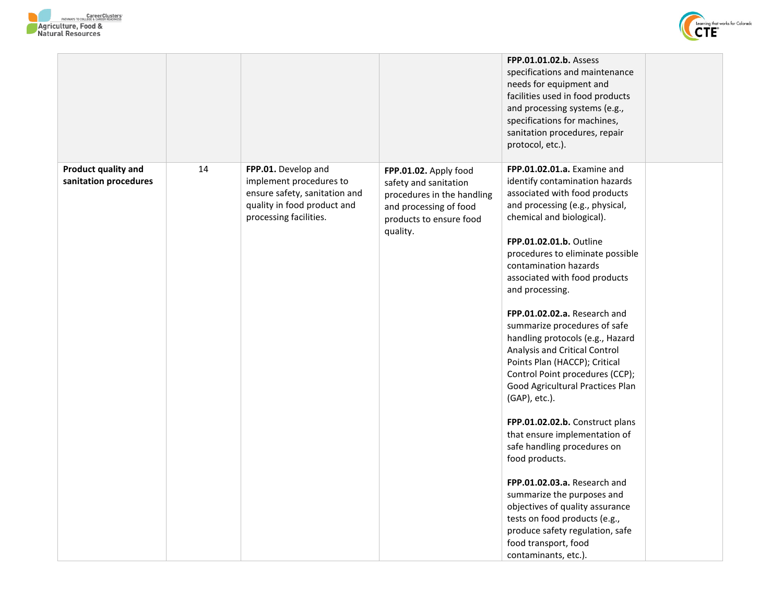



| Product quality and   | 14 | FPP.01. Develop and                                                                                               |                                                                                                                                               | FPP.01.01.02.b. Assess<br>specifications and maintenance<br>needs for equipment and<br>facilities used in food products<br>and processing systems (e.g.,<br>specifications for machines,<br>sanitation procedures, repair<br>protocol, etc.).<br>FPP.01.02.01.a. Examine and                                                                                                                                                                                                                                                                                                                                                                                                                                                                                                                                                                                                        |  |
|-----------------------|----|-------------------------------------------------------------------------------------------------------------------|-----------------------------------------------------------------------------------------------------------------------------------------------|-------------------------------------------------------------------------------------------------------------------------------------------------------------------------------------------------------------------------------------------------------------------------------------------------------------------------------------------------------------------------------------------------------------------------------------------------------------------------------------------------------------------------------------------------------------------------------------------------------------------------------------------------------------------------------------------------------------------------------------------------------------------------------------------------------------------------------------------------------------------------------------|--|
| sanitation procedures |    | implement procedures to<br>ensure safety, sanitation and<br>quality in food product and<br>processing facilities. | FPP.01.02. Apply food<br>safety and sanitation<br>procedures in the handling<br>and processing of food<br>products to ensure food<br>quality. | identify contamination hazards<br>associated with food products<br>and processing (e.g., physical,<br>chemical and biological).<br>FPP.01.02.01.b. Outline<br>procedures to eliminate possible<br>contamination hazards<br>associated with food products<br>and processing.<br>FPP.01.02.02.a. Research and<br>summarize procedures of safe<br>handling protocols (e.g., Hazard<br>Analysis and Critical Control<br>Points Plan (HACCP); Critical<br>Control Point procedures (CCP);<br>Good Agricultural Practices Plan<br>(GAP), etc.).<br>FPP.01.02.02.b. Construct plans<br>that ensure implementation of<br>safe handling procedures on<br>food products.<br>FPP.01.02.03.a. Research and<br>summarize the purposes and<br>objectives of quality assurance<br>tests on food products (e.g.,<br>produce safety regulation, safe<br>food transport, food<br>contaminants, etc.). |  |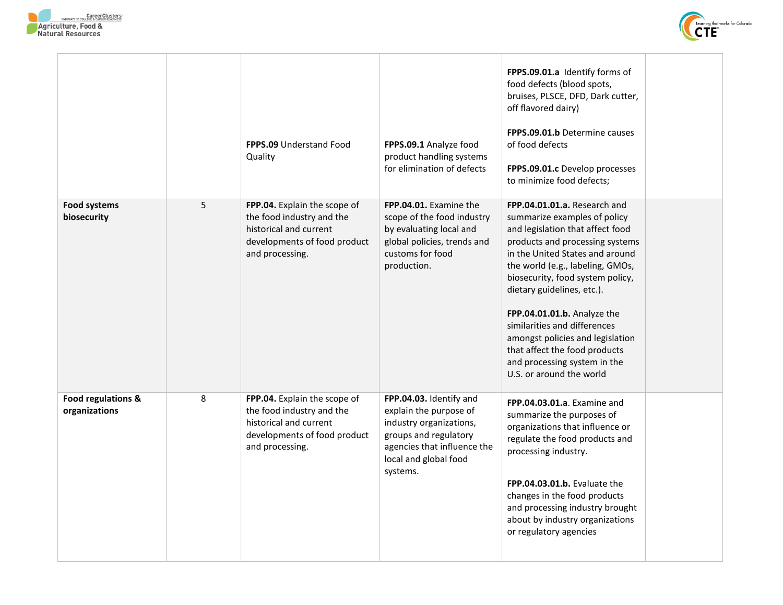



|                                     |   | <b>FPPS.09 Understand Food</b><br>Quality                                                                                              | FPPS.09.1 Analyze food<br>product handling systems<br>for elimination of defects                                                                                          | FPPS.09.01.a Identify forms of<br>food defects (blood spots,<br>bruises, PLSCE, DFD, Dark cutter,<br>off flavored dairy)<br><b>FPPS.09.01.b Determine causes</b><br>of food defects<br>FPPS.09.01.c Develop processes<br>to minimize food defects;                                                                                                                                                                                                                           |  |
|-------------------------------------|---|----------------------------------------------------------------------------------------------------------------------------------------|---------------------------------------------------------------------------------------------------------------------------------------------------------------------------|------------------------------------------------------------------------------------------------------------------------------------------------------------------------------------------------------------------------------------------------------------------------------------------------------------------------------------------------------------------------------------------------------------------------------------------------------------------------------|--|
| <b>Food systems</b><br>biosecurity  | 5 | FPP.04. Explain the scope of<br>the food industry and the<br>historical and current<br>developments of food product<br>and processing. | FPP.04.01. Examine the<br>scope of the food industry<br>by evaluating local and<br>global policies, trends and<br>customs for food<br>production.                         | FPP.04.01.01.a. Research and<br>summarize examples of policy<br>and legislation that affect food<br>products and processing systems<br>in the United States and around<br>the world (e.g., labeling, GMOs,<br>biosecurity, food system policy,<br>dietary guidelines, etc.).<br>FPP.04.01.01.b. Analyze the<br>similarities and differences<br>amongst policies and legislation<br>that affect the food products<br>and processing system in the<br>U.S. or around the world |  |
| Food regulations &<br>organizations | 8 | FPP.04. Explain the scope of<br>the food industry and the<br>historical and current<br>developments of food product<br>and processing. | FPP.04.03. Identify and<br>explain the purpose of<br>industry organizations,<br>groups and regulatory<br>agencies that influence the<br>local and global food<br>systems. | FPP.04.03.01.a. Examine and<br>summarize the purposes of<br>organizations that influence or<br>regulate the food products and<br>processing industry.<br>FPP.04.03.01.b. Evaluate the<br>changes in the food products<br>and processing industry brought<br>about by industry organizations<br>or regulatory agencies                                                                                                                                                        |  |